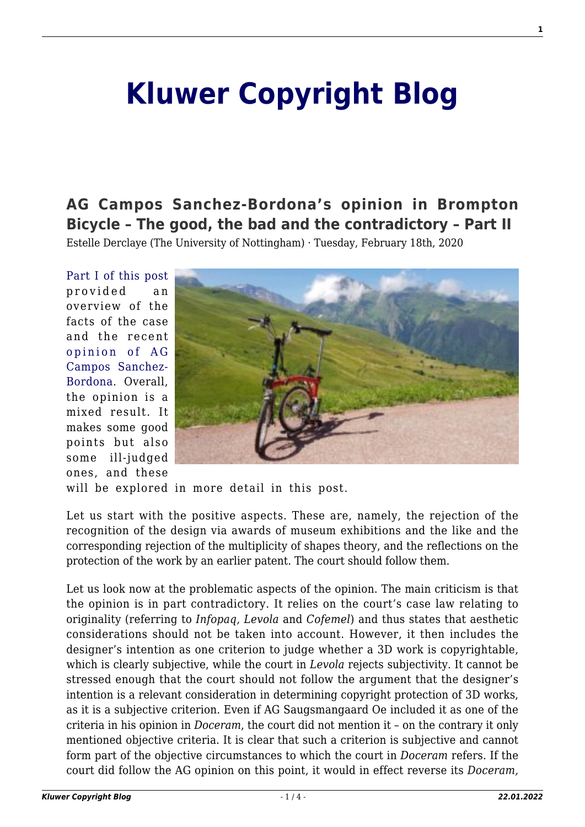## **[Kluwer Copyright Blog](http://copyrightblog.kluweriplaw.com/)**

## **[AG Campos Sanchez-Bordona's opinion in Brompton](http://copyrightblog.kluweriplaw.com/2020/02/18/ag-campos-sanchez-bordonas-opinion-in-brompton-bicycle-the-good-the-bad-and-the-contradictory-part-ii/) [Bicycle – The good, the bad and the contradictory – Part II](http://copyrightblog.kluweriplaw.com/2020/02/18/ag-campos-sanchez-bordonas-opinion-in-brompton-bicycle-the-good-the-bad-and-the-contradictory-part-ii/)**

Estelle Derclaye (The University of Nottingham) · Tuesday, February 18th, 2020

[Part I of this post](http://copyrightblog.kluweriplaw.com/2020/02/13/ag-campos-sanchez-bordonas-opinion-in-brompton-bicycle-the-good-the-bad-and-the-contradictory-part-i/) provided an overview of the facts of the case and the recent [opinion of AG](http://curia.europa.eu/juris/document/document.jsf?text=&docid=223082&pageIndex=0&doclang=EN&mode=req&dir=&occ=first&part=1&cid=5739228) [Campos Sanchez-](http://curia.europa.eu/juris/document/document.jsf?text=&docid=223082&pageIndex=0&doclang=EN&mode=req&dir=&occ=first&part=1&cid=5739228)[Bordona](http://curia.europa.eu/juris/document/document.jsf?text=&docid=223082&pageIndex=0&doclang=EN&mode=req&dir=&occ=first&part=1&cid=5739228). Overall, the opinion is a mixed result. It makes some good points but also some ill-judged ones, and these



will be explored in more detail in this post.

Let us start with the positive aspects. These are, namely, the rejection of the recognition of the design via awards of museum exhibitions and the like and the corresponding rejection of the multiplicity of shapes theory, and the reflections on the protection of the work by an earlier patent. The court should follow them.

Let us look now at the problematic aspects of the opinion. The main criticism is that the opinion is in part contradictory. It relies on the court's case law relating to originality (referring to *Infopaq, Levola* and *Cofemel*) and thus states that aesthetic considerations should not be taken into account. However, it then includes the designer's intention as one criterion to judge whether a 3D work is copyrightable, which is clearly subjective, while the court in *Levola* rejects subjectivity. It cannot be stressed enough that the court should not follow the argument that the designer's intention is a relevant consideration in determining copyright protection of 3D works, as it is a subjective criterion. Even if AG Saugsmangaard Oe included it as one of the criteria in his opinion in *Doceram*, the court did not mention it – on the contrary it only mentioned objective criteria. It is clear that such a criterion is subjective and cannot form part of the objective circumstances to which the court in *Doceram* refers. If the court did follow the AG opinion on this point, it would in effect reverse its *Doceram,*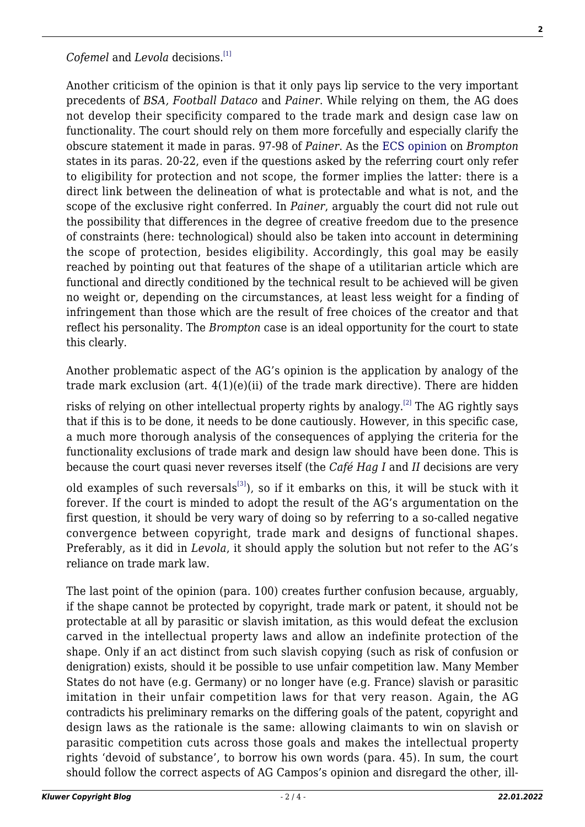## *Cofemel* and *Levola* decisions.<sup>[\[1\]](#page-2-0)</sup>

Another criticism of the opinion is that it only pays lip service to the very important precedents of *BSA, Football Dataco* and *Painer*. While relying on them, the AG does not develop their specificity compared to the trade mark and design case law on functionality. The court should rely on them more forcefully and especially clarify the obscure statement it made in paras. 97-98 of *Painer*. As the [ECS opinion](https://europeancopyrightsocietydotorg.files.wordpress.com/2019/12/ecs-opinion-brompton-final-12-12-2019-final-3.pdf) on *Brompton* states in its paras. 20-22, even if the questions asked by the referring court only refer to eligibility for protection and not scope, the former implies the latter: there is a direct link between the delineation of what is protectable and what is not, and the scope of the exclusive right conferred. In *Painer*, arguably the court did not rule out the possibility that differences in the degree of creative freedom due to the presence of constraints (here: technological) should also be taken into account in determining the scope of protection, besides eligibility. Accordingly, this goal may be easily reached by pointing out that features of the shape of a utilitarian article which are functional and directly conditioned by the technical result to be achieved will be given no weight or, depending on the circumstances, at least less weight for a finding of infringement than those which are the result of free choices of the creator and that reflect his personality. The *Brompton* case is an ideal opportunity for the court to state this clearly.

Another problematic aspect of the AG's opinion is the application by analogy of the trade mark exclusion (art.  $4(1)(e)(ii)$  of the trade mark directive). There are hidden

risks of relying on other intellectual property rights by analogy.<sup>[\[2\]](#page-2-1)</sup> The AG rightly says that if this is to be done, it needs to be done cautiously. However, in this specific case, a much more thorough analysis of the consequences of applying the criteria for the functionality exclusions of trade mark and design law should have been done. This is because the court quasi never reverses itself (the *Café Hag I* and *II* decisions are very

old examples of such reversals<sup>[\[3\]](#page-2-0)</sup>), so if it embarks on this, it will be stuck with it forever. If the court is minded to adopt the result of the AG's argumentation on the first question, it should be very wary of doing so by referring to a so-called negative convergence between copyright, trade mark and designs of functional shapes. Preferably, as it did in *Levola*, it should apply the solution but not refer to the AG's reliance on trade mark law.

The last point of the opinion (para. 100) creates further confusion because, arguably, if the shape cannot be protected by copyright, trade mark or patent, it should not be protectable at all by parasitic or slavish imitation, as this would defeat the exclusion carved in the intellectual property laws and allow an indefinite protection of the shape. Only if an act distinct from such slavish copying (such as risk of confusion or denigration) exists, should it be possible to use unfair competition law. Many Member States do not have (e.g. Germany) or no longer have (e.g. France) slavish or parasitic imitation in their unfair competition laws for that very reason. Again, the AG contradicts his preliminary remarks on the differing goals of the patent, copyright and design laws as the rationale is the same: allowing claimants to win on slavish or parasitic competition cuts across those goals and makes the intellectual property rights 'devoid of substance', to borrow his own words (para. 45). In sum, the court should follow the correct aspects of AG Campos's opinion and disregard the other, ill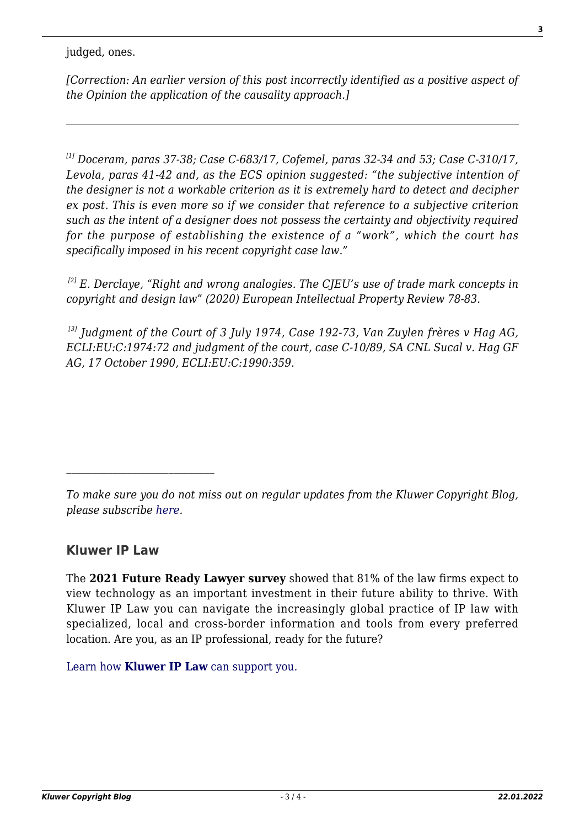judged, ones.

*[Correction: An earlier version of this post incorrectly identified as a positive aspect of the Opinion the application of the causality approach.]*

*[1] Doceram, paras 37-38; Case C-683/17, Cofemel, paras 32-34 and 53; Case C-310/17, Levola, paras 41-42 and, as the ECS opinion suggested: "the subjective intention of the designer is not a workable criterion as it is extremely hard to detect and decipher ex post. This is even more so if we consider that reference to a subjective criterion such as the intent of a designer does not possess the certainty and objectivity required for the purpose of establishing the existence of a "work", which the court has specifically imposed in his recent copyright case law."*

*[2] E. Derclaye, "Right and wrong analogies. The CJEU's use of trade mark concepts in copyright and design law" (2020) European Intellectual Property Review 78-83.*

<span id="page-2-1"></span><span id="page-2-0"></span>*[3] Judgment of the Court of 3 July 1974, Case 192-73, Van Zuylen frères v Hag AG, ECLI:EU:C:1974:72 and judgment of the court, case C-10/89, SA CNL Sucal v. Hag GF AG, 17 October 1990, ECLI:EU:C:1990:359.*

*To make sure you do not miss out on regular updates from the Kluwer Copyright Blog, please subscribe [here.](http://copyrightblog.kluweriplaw.com/newsletter)*

## **Kluwer IP Law**

The **2021 Future Ready Lawyer survey** showed that 81% of the law firms expect to view technology as an important investment in their future ability to thrive. With Kluwer IP Law you can navigate the increasingly global practice of IP law with specialized, local and cross-border information and tools from every preferred location. Are you, as an IP professional, ready for the future?

[Learn how](https://www.wolterskluwer.com/en/solutions/kluweriplaw?utm_source=copyrightnblog&utm_medium=articleCTA&utm_campaign=article-banner) **[Kluwer IP Law](https://www.wolterskluwer.com/en/solutions/kluweriplaw?utm_source=copyrightnblog&utm_medium=articleCTA&utm_campaign=article-banner)** [can support you.](https://www.wolterskluwer.com/en/solutions/kluweriplaw?utm_source=copyrightnblog&utm_medium=articleCTA&utm_campaign=article-banner)